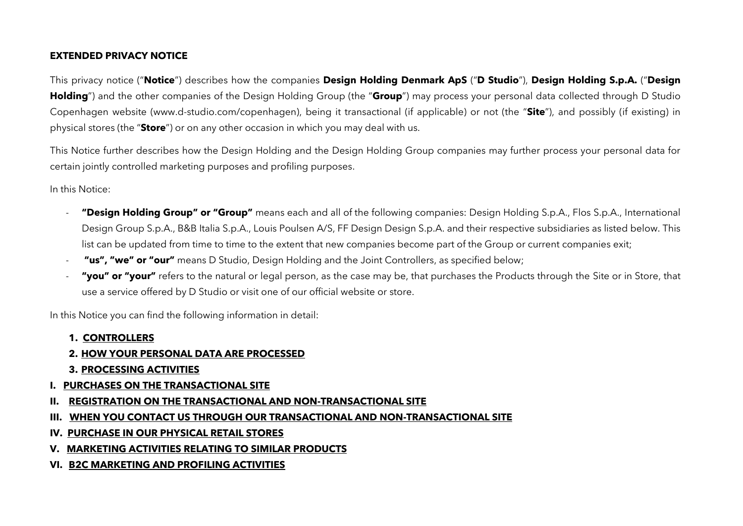### **EXTENDED PRIVACY NOTICE**

This privacy notice ("**Notice**") describes how the companies **Design Holding Denmark ApS** ("**D Studio**"), **Design Holding S.p.A.** ("**Design Holding**") and the other companies of the Design Holding Group (the "**Group**") may process your personal data collected through D Studio Copenhagen website (www.d-studio.com/copenhagen), being it transactional (if applicable) or not (the "**Site**"), and possibly (if existing) in physical stores (the "**Store**") or on any other occasion in which you may deal with us.

This Notice further describes how the Design Holding and the Design Holding Group companies may further process your personal data for certain jointly controlled marketing purposes and profiling purposes.

In this Notice:

- **"Design Holding Group" or "Group"** means each and all of the following companies: Design Holding S.p.A., Flos S.p.A., International Design Group S.p.A., B&B Italia S.p.A., Louis Poulsen A/S, FF Design Design S.p.A. and their respective subsidiaries as listed below. This list can be updated from time to time to the extent that new companies become part of the Group or current companies exit;
- **"us", "we" or "our"** means D Studio, Design Holding and the Joint Controllers, as specified below;
- **"you" or "your"** refers to the natural or legal person, as the case may be, that purchases the Products through the Site or in Store, that use a service offered by D Studio or visit one of our official website or store.

In this Notice you can find the following information in detail:

**1. CONTROLLERS**

#### **2. HOW YOUR PERSONAL DATA ARE PROCESSED**

- **3. PROCESSING ACTIVITIES**
- **I. PURCHASES ON THE TRANSACTIONAL SITE**
- **II. REGISTRATION ON THE TRANSACTIONAL AND NON-TRANSACTIONAL SITE**
- **III. WHEN YOU CONTACT US THROUGH OUR TRANSACTIONAL AND NON-TRANSACTIONAL SITE**
- **IV. PURCHASE IN OUR PHYSICAL RETAIL STORES**
- **V. MARKETING ACTIVITIES RELATING TO SIMILAR PRODUCTS**
- **VI. B2C MARKETING AND PROFILING ACTIVITIES**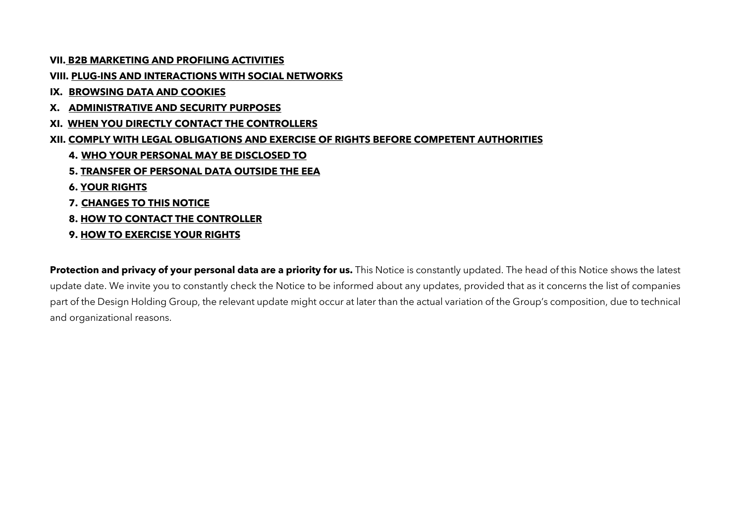**VII. B2B MARKETING AND PROFILING ACTIVITIES**

**VIII. PLUG-INS AND INTERACTIONS WITH SOCIAL NETWORKS**

**IX. BROWSING DATA AND COOKIES**

- **X. ADMINISTRATIVE AND SECURITY PURPOSES**
- **XI. WHEN YOU DIRECTLY CONTACT THE CONTROLLERS**
- **XII. COMPLY WITH LEGAL OBLIGATIONS AND EXERCISE OF RIGHTS BEFORE COMPETENT AUTHORITIES**
	- **4. WHO YOUR PERSONAL MAY BE DISCLOSED TO**
	- **5. TRANSFER OF PERSONAL DATA OUTSIDE THE EEA**
	- **6. YOUR RIGHTS**
	- **7. CHANGES TO THIS NOTICE**
	- **8. HOW TO CONTACT THE CONTROLLER**
	- **9. HOW TO EXERCISE YOUR RIGHTS**

**Protection and privacy of your personal data are a priority for us.** This Notice is constantly updated. The head of this Notice shows the latest update date. We invite you to constantly check the Notice to be informed about any updates, provided that as it concerns the list of companies part of the Design Holding Group, the relevant update might occur at later than the actual variation of the Group's composition, due to technical and organizational reasons.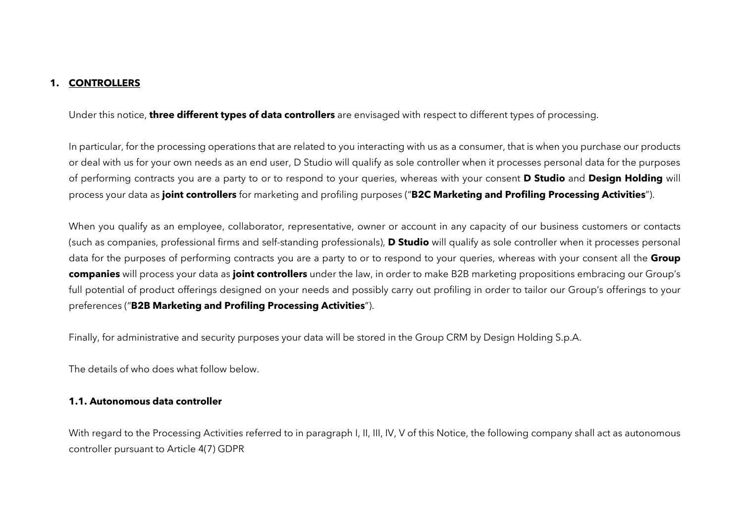#### **1. CONTROLLERS**

Under this notice, **three different types of data controllers** are envisaged with respect to different types of processing.

In particular, for the processing operations that are related to you interacting with us as a consumer, that is when you purchase our products or deal with us for your own needs as an end user, D Studio will qualify as sole controller when it processes personal data for the purposes of performing contracts you are a party to or to respond to your queries, whereas with your consent **D Studio** and **Design Holding** will process your data as **joint controllers** for marketing and profiling purposes ("**B2C Marketing and Profiling Processing Activities**").

When you qualify as an employee, collaborator, representative, owner or account in any capacity of our business customers or contacts (such as companies, professional firms and self-standing professionals), **D Studio** will qualify as sole controller when it processes personal data for the purposes of performing contracts you are a party to or to respond to your queries, whereas with your consent all the **Group companies** will process your data as **joint controllers** under the law, in order to make B2B marketing propositions embracing our Group's full potential of product offerings designed on your needs and possibly carry out profiling in order to tailor our Group's offerings to your preferences ("**B2B Marketing and Profiling Processing Activities**").

Finally, for administrative and security purposes your data will be stored in the Group CRM by Design Holding S.p.A.

The details of who does what follow below.

#### **1.1. Autonomous data controller**

With regard to the Processing Activities referred to in paragraph I, II, III, IV, V of this Notice, the following company shall act as autonomous controller pursuant to Article 4(7) GDPR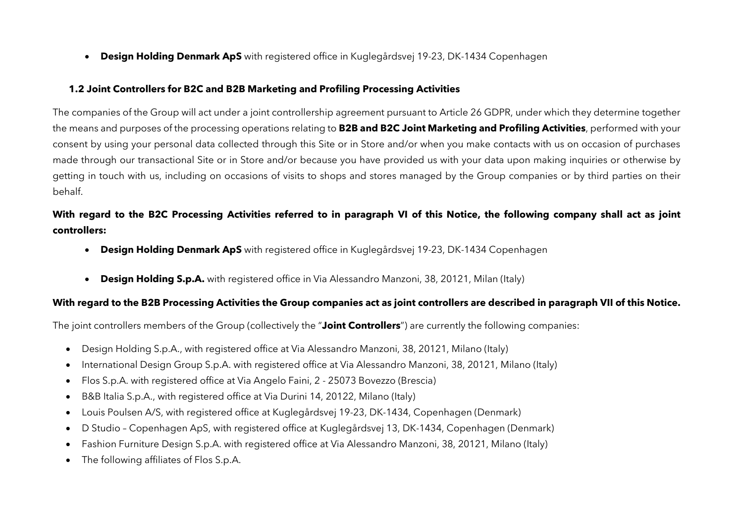• **Design Holding Denmark ApS** with registered office in Kuglegårdsvej 19-23, DK-1434 Copenhagen

#### **1.2 Joint Controllers for B2C and B2B Marketing and Profiling Processing Activities**

The companies of the Group will act under a joint controllership agreement pursuant to Article 26 GDPR, under which they determine together the means and purposes of the processing operations relating to **B2B and B2C Joint Marketing and Profiling Activities**, performed with your consent by using your personal data collected through this Site or in Store and/or when you make contacts with us on occasion of purchases made through our transactional Site or in Store and/or because you have provided us with your data upon making inquiries or otherwise by getting in touch with us, including on occasions of visits to shops and stores managed by the Group companies or by third parties on their behalf.

# **With regard to the B2C Processing Activities referred to in paragraph VI of this Notice, the following company shall act as joint controllers:**

- **Design Holding Denmark ApS** with registered office in Kuglegårdsvej 19-23, DK-1434 Copenhagen
- **Design Holding S.p.A.** with registered office in Via Alessandro Manzoni, 38, 20121, Milan (Italy)

### **With regard to the B2B Processing Activities the Group companies act as joint controllers are described in paragraph VII of this Notice.**

The joint controllers members of the Group (collectively the "**Joint Controllers**") are currently the following companies:

- Design Holding S.p.A., with registered office at Via Alessandro Manzoni, 38, 20121, Milano (Italy)
- International Design Group S.p.A. with registered office at Via Alessandro Manzoni, 38, 20121, Milano (Italy)
- Flos S.p.A. with registered office at Via Angelo Faini, 2 25073 Bovezzo (Brescia)
- B&B Italia S.p.A., with registered office at Via Durini 14, 20122, Milano (Italy)
- Louis Poulsen A/S, with registered office at Kuglegårdsvej 19-23, DK-1434, Copenhagen (Denmark)
- D Studio Copenhagen ApS, with registered office at Kuglegårdsvej 13, DK-1434, Copenhagen (Denmark)
- Fashion Furniture Design S.p.A. with registered office at Via Alessandro Manzoni, 38, 20121, Milano (Italy)
- The following affiliates of Flos S.p.A.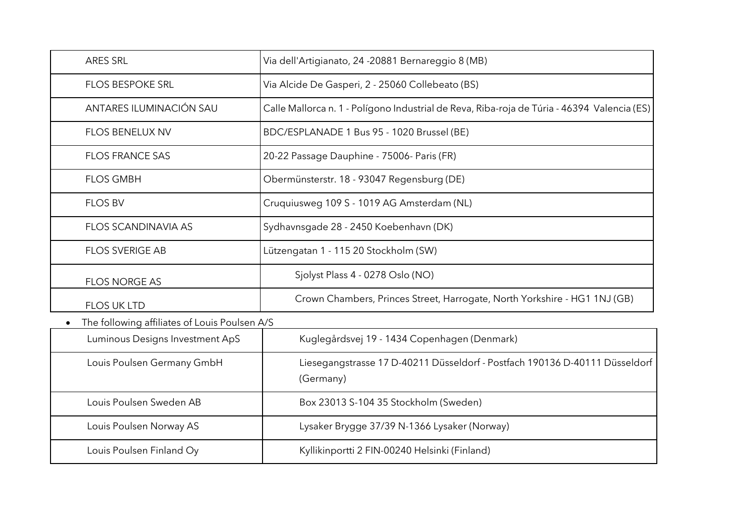| <b>ARES SRL</b>                               | Via dell'Artigianato, 24 -20881 Bernareggio 8 (MB)                                          |
|-----------------------------------------------|---------------------------------------------------------------------------------------------|
| <b>FLOS BESPOKE SRL</b>                       | Via Alcide De Gasperi, 2 - 25060 Collebeato (BS)                                            |
| ANTARES ILUMINACIÓN SAU                       | Calle Mallorca n. 1 - Polígono Industrial de Reva, Riba-roja de Túria - 46394 Valencia (ES) |
| <b>FLOS BENELUX NV</b>                        | BDC/ESPLANADE 1 Bus 95 - 1020 Brussel (BE)                                                  |
| <b>FLOS FRANCE SAS</b>                        | 20-22 Passage Dauphine - 75006- Paris (FR)                                                  |
| <b>FLOS GMBH</b>                              | Obermünsterstr. 18 - 93047 Regensburg (DE)                                                  |
| <b>FLOS BV</b>                                | Cruquiusweg 109 S - 1019 AG Amsterdam (NL)                                                  |
| <b>FLOS SCANDINAVIA AS</b>                    | Sydhavnsgade 28 - 2450 Koebenhavn (DK)                                                      |
| <b>FLOS SVERIGE AB</b>                        | Lützengatan 1 - 115 20 Stockholm (SW)                                                       |
| <b>FLOS NORGE AS</b>                          | Sjolyst Plass 4 - 0278 Oslo (NO)                                                            |
| <b>FLOS UK LTD</b>                            | Crown Chambers, Princes Street, Harrogate, North Yorkshire - HG1 1NJ (GB)                   |
| The following affiliates of Louis Poulsen A/S |                                                                                             |
| Luminous Designs Investment ApS               | Kuglegårdsvej 19 - 1434 Copenhagen (Denmark)                                                |
| Louis Poulsen Germany GmbH                    | Liesegangstrasse 17 D-40211 Düsseldorf - Postfach 190136 D-40111 Düsseldorf<br>(Germany)    |
| Louis Poulsen Sweden AB                       | Box 23013 S-104 35 Stockholm (Sweden)                                                       |
| Louis Poulsen Norway AS                       | Lysaker Brygge 37/39 N-1366 Lysaker (Norway)                                                |
| Louis Poulsen Finland Oy                      | Kyllikinportti 2 FIN-00240 Helsinki (Finland)                                               |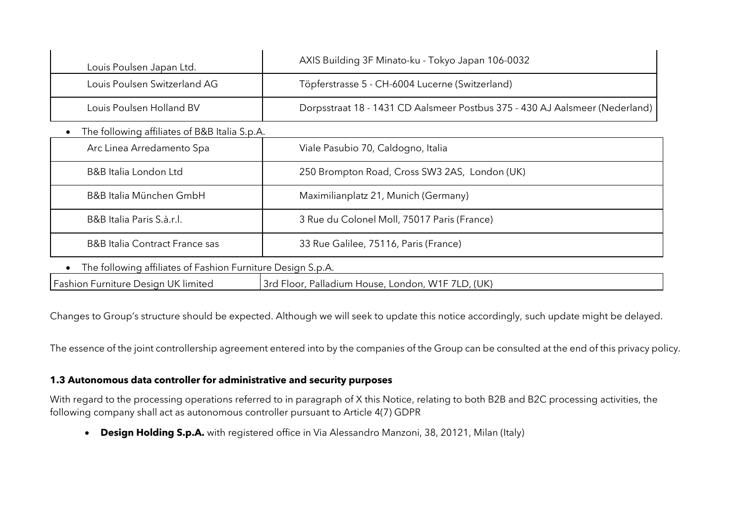| Louis Poulsen Japan Ltd.                                    | AXIS Building 3F Minato-ku - Tokyo Japan 106-0032                           |
|-------------------------------------------------------------|-----------------------------------------------------------------------------|
| Louis Poulsen Switzerland AG                                | Töpferstrasse 5 - CH-6004 Lucerne (Switzerland)                             |
| Louis Poulsen Holland BV                                    | Dorpsstraat 18 - 1431 CD Aalsmeer Postbus 375 - 430 AJ Aalsmeer (Nederland) |
| The following affiliates of B&B Italia S.p.A.               |                                                                             |
| Arc Linea Arredamento Spa                                   | Viale Pasubio 70, Caldogno, Italia                                          |
| B&B Italia London Ltd                                       | 250 Brompton Road, Cross SW3 2AS, London (UK)                               |
| B&B Italia München GmbH                                     | Maximilianplatz 21, Munich (Germany)                                        |
| B&B Italia Paris S.à.r.l.                                   | 3 Rue du Colonel Moll, 75017 Paris (France)                                 |
| <b>B&amp;B</b> Italia Contract France sas                   | 33 Rue Galilee, 75116, Paris (France)                                       |
| The following affiliates of Fashion Furniture Design S.p.A. |                                                                             |
| Fashion Furniture Design UK limited                         | 3rd Floor, Palladium House, London, W1F 7LD, (UK)                           |

Changes to Group's structure should be expected. Although we will seek to update this notice accordingly, such update might be delayed.

The essence of the joint controllership agreement entered into by the companies of the Group can be consulted at the end of this privacy policy.

#### **1.3 Autonomous data controller for administrative and security purposes**

With regard to the processing operations referred to in paragraph of X this Notice, relating to both B2B and B2C processing activities, the following company shall act as autonomous controller pursuant to Article 4(7) GDPR

• **Design Holding S.p.A.** with registered office in Via Alessandro Manzoni, 38, 20121, Milan (Italy)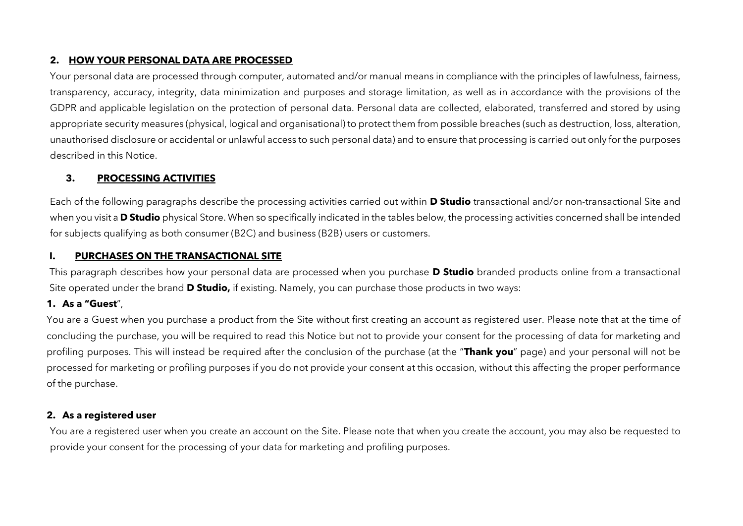#### **2. HOW YOUR PERSONAL DATA ARE PROCESSED**

Your personal data are processed through computer, automated and/or manual means in compliance with the principles of lawfulness, fairness, transparency, accuracy, integrity, data minimization and purposes and storage limitation, as well as in accordance with the provisions of the GDPR and applicable legislation on the protection of personal data. Personal data are collected, elaborated, transferred and stored by using appropriate security measures (physical, logical and organisational) to protect them from possible breaches (such as destruction, loss, alteration, unauthorised disclosure or accidental or unlawful access to such personal data) and to ensure that processing is carried out only for the purposes described in this Notice.

### **3. PROCESSING ACTIVITIES**

Each of the following paragraphs describe the processing activities carried out within **D Studio** transactional and/or non-transactional Site and when you visit a **D Studio** physical Store. When so specifically indicated in the tables below, the processing activities concerned shall be intended for subjects qualifying as both consumer (B2C) and business (B2B) users or customers.

#### **I. PURCHASES ON THE TRANSACTIONAL SITE**

This paragraph describes how your personal data are processed when you purchase **D Studio** branded products online from a transactional Site operated under the brand **D Studio,** if existing. Namely, you can purchase those products in two ways:

### **1. As a "Guest**",

You are a Guest when you purchase a product from the Site without first creating an account as registered user. Please note that at the time of concluding the purchase, you will be required to read this Notice but not to provide your consent for the processing of data for marketing and profiling purposes. This will instead be required after the conclusion of the purchase (at the "**Thank you**" page) and your personal will not be processed for marketing or profiling purposes if you do not provide your consent at this occasion, without this affecting the proper performance of the purchase.

### **2. As a registered user**

You are a registered user when you create an account on the Site. Please note that when you create the account, you may also be requested to provide your consent for the processing of your data for marketing and profiling purposes.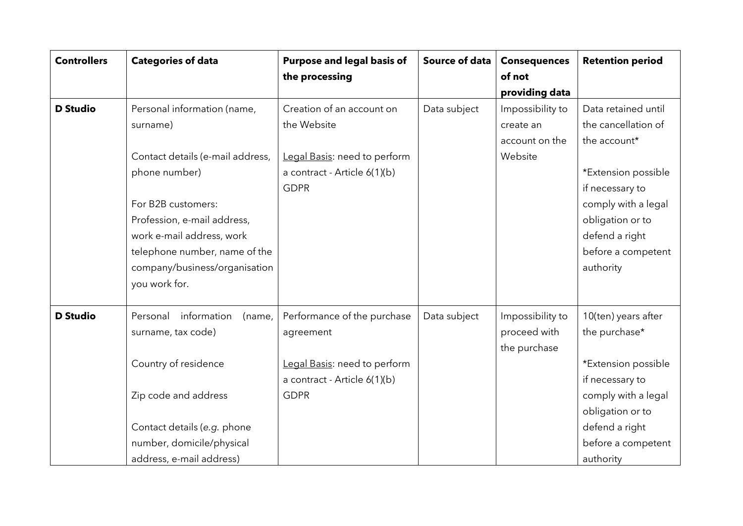| <b>Controllers</b> | <b>Categories of data</b>         | Purpose and legal basis of   | <b>Source of data</b> | <b>Consequences</b> | <b>Retention period</b> |
|--------------------|-----------------------------------|------------------------------|-----------------------|---------------------|-------------------------|
|                    |                                   | the processing               |                       | of not              |                         |
|                    |                                   |                              |                       | providing data      |                         |
| <b>D</b> Studio    | Personal information (name,       | Creation of an account on    | Data subject          | Impossibility to    | Data retained until     |
|                    | surname)                          | the Website                  |                       | create an           | the cancellation of     |
|                    |                                   |                              |                       | account on the      | the account*            |
|                    | Contact details (e-mail address,  | Legal Basis: need to perform |                       | Website             |                         |
|                    | phone number)                     | a contract - Article 6(1)(b) |                       |                     | *Extension possible     |
|                    |                                   | <b>GDPR</b>                  |                       |                     | if necessary to         |
|                    | For B2B customers:                |                              |                       |                     | comply with a legal     |
|                    | Profession, e-mail address,       |                              |                       |                     | obligation or to        |
|                    | work e-mail address, work         |                              |                       |                     | defend a right          |
|                    | telephone number, name of the     |                              |                       |                     | before a competent      |
|                    | company/business/organisation     |                              |                       |                     | authority               |
|                    | you work for.                     |                              |                       |                     |                         |
| <b>D</b> Studio    | information<br>Personal<br>(name, | Performance of the purchase  | Data subject          | Impossibility to    | 10(ten) years after     |
|                    | surname, tax code)                | agreement                    |                       | proceed with        | the purchase*           |
|                    |                                   |                              |                       | the purchase        |                         |
|                    | Country of residence              | Legal Basis: need to perform |                       |                     | *Extension possible     |
|                    |                                   | a contract - Article 6(1)(b) |                       |                     | if necessary to         |
|                    | Zip code and address              | <b>GDPR</b>                  |                       |                     | comply with a legal     |
|                    |                                   |                              |                       |                     | obligation or to        |
|                    | Contact details (e.g. phone       |                              |                       |                     | defend a right          |
|                    | number, domicile/physical         |                              |                       |                     | before a competent      |
|                    | address, e-mail address)          |                              |                       |                     | authority               |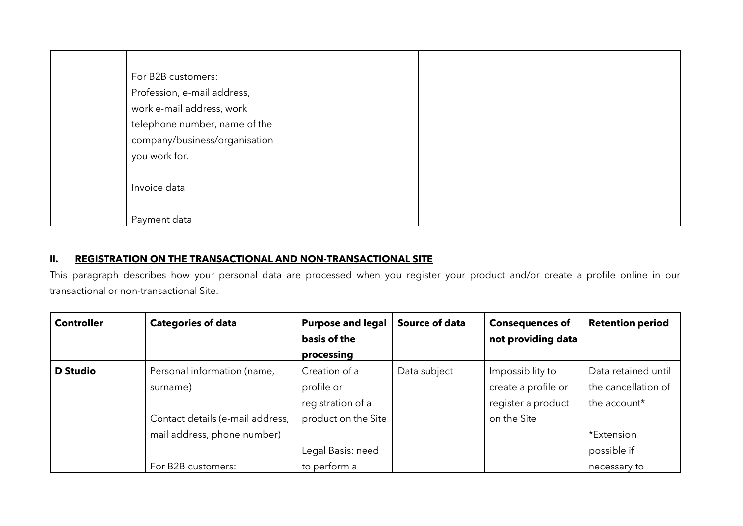| For B2B customers:            |
|-------------------------------|
| Profession, e-mail address,   |
| work e-mail address, work     |
| telephone number, name of the |
| company/business/organisation |
| you work for.                 |
|                               |
| Invoice data                  |
|                               |
| Payment data                  |

#### **II. REGISTRATION ON THE TRANSACTIONAL AND NON-TRANSACTIONAL SITE**

This paragraph describes how your personal data are processed when you register your product and/or create a profile online in our transactional or non-transactional Site.

| <b>Controller</b> | <b>Categories of data</b>        | <b>Purpose and legal</b> | Source of data | <b>Consequences of</b> | <b>Retention period</b> |
|-------------------|----------------------------------|--------------------------|----------------|------------------------|-------------------------|
|                   |                                  | basis of the             |                | not providing data     |                         |
|                   |                                  | processing               |                |                        |                         |
| <b>D</b> Studio   | Personal information (name,      | Creation of a            | Data subject   | Impossibility to       | Data retained until     |
|                   | surname)                         | profile or               |                | create a profile or    | the cancellation of     |
|                   |                                  | registration of a        |                | register a product     | the account*            |
|                   | Contact details (e-mail address, | product on the Site      |                | on the Site            |                         |
|                   | mail address, phone number)      |                          |                |                        | *Extension              |
|                   |                                  | Legal Basis: need        |                |                        | possible if             |
|                   | For B2B customers:               | to perform a             |                |                        | necessary to            |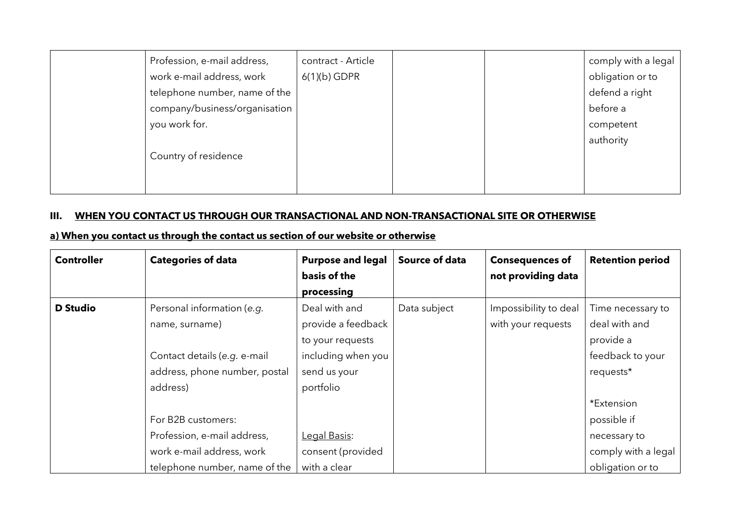| Profession, e-mail address,   | contract - Article |  | comply with a legal |
|-------------------------------|--------------------|--|---------------------|
| work e-mail address, work     | $6(1)(b)$ GDPR     |  | obligation or to    |
| telephone number, name of the |                    |  | defend a right      |
| company/business/organisation |                    |  | before a            |
| you work for.                 |                    |  | competent           |
|                               |                    |  | authority           |
| Country of residence          |                    |  |                     |
|                               |                    |  |                     |
|                               |                    |  |                     |

## **III. WHEN YOU CONTACT US THROUGH OUR TRANSACTIONAL AND NON-TRANSACTIONAL SITE OR OTHERWISE**

#### **a) When you contact us through the contact us section of our website or otherwise**

| <b>Controller</b> | <b>Categories of data</b>     | <b>Purpose and legal</b> | Source of data | <b>Consequences of</b> | <b>Retention period</b> |
|-------------------|-------------------------------|--------------------------|----------------|------------------------|-------------------------|
|                   |                               | basis of the             |                | not providing data     |                         |
|                   |                               | processing               |                |                        |                         |
| <b>D</b> Studio   | Personal information (e.g.    | Deal with and            | Data subject   | Impossibility to deal  | Time necessary to       |
|                   | name, surname)                | provide a feedback       |                | with your requests     | deal with and           |
|                   |                               | to your requests         |                |                        | provide a               |
|                   | Contact details (e.g. e-mail  | including when you       |                |                        | feedback to your        |
|                   | address, phone number, postal | send us your             |                |                        | requests*               |
|                   | address)                      | portfolio                |                |                        |                         |
|                   |                               |                          |                |                        | *Extension              |
|                   | For B2B customers:            |                          |                |                        | possible if             |
|                   | Profession, e-mail address,   | Legal Basis:             |                |                        | necessary to            |
|                   | work e-mail address, work     | consent (provided        |                |                        | comply with a legal     |
|                   | telephone number, name of the | with a clear             |                |                        | obligation or to        |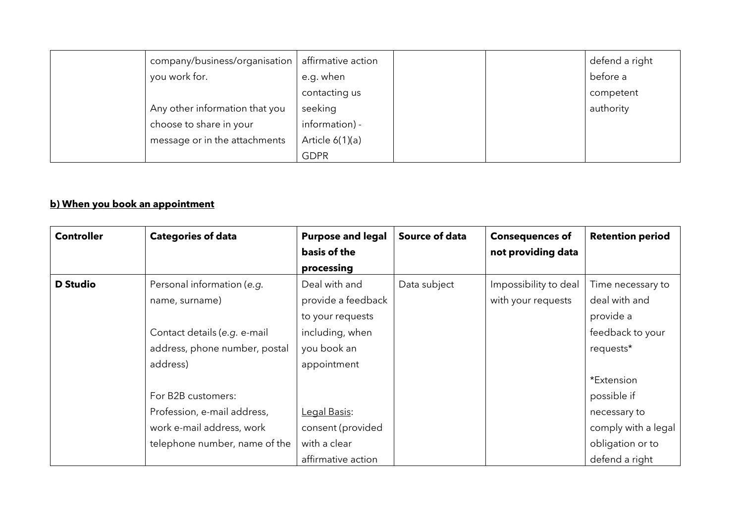| company/business/organisation   affirmative action |                   |  | defend a right |
|----------------------------------------------------|-------------------|--|----------------|
| you work for.                                      | e.g. when         |  | before a       |
|                                                    | contacting us     |  | competent      |
| Any other information that you                     | seeking           |  | authority      |
| choose to share in your                            | information) -    |  |                |
| message or in the attachments                      | Article $6(1)(a)$ |  |                |
|                                                    | <b>GDPR</b>       |  |                |

# **b) When you book an appointment**

| <b>Controller</b> | <b>Categories of data</b>     | <b>Purpose and legal</b> | Source of data | <b>Consequences of</b> | <b>Retention period</b> |
|-------------------|-------------------------------|--------------------------|----------------|------------------------|-------------------------|
|                   |                               | basis of the             |                | not providing data     |                         |
|                   |                               | processing               |                |                        |                         |
| <b>D</b> Studio   | Personal information (e.g.    | Deal with and            | Data subject   | Impossibility to deal  | Time necessary to       |
|                   | name, surname)                | provide a feedback       |                | with your requests     | deal with and           |
|                   |                               | to your requests         |                |                        | provide a               |
|                   | Contact details (e.g. e-mail  | including, when          |                |                        | feedback to your        |
|                   | address, phone number, postal | you book an              |                |                        | requests*               |
|                   | address)                      | appointment              |                |                        |                         |
|                   |                               |                          |                |                        | *Extension              |
|                   | For B2B customers:            |                          |                |                        | possible if             |
|                   | Profession, e-mail address,   | Legal Basis:             |                |                        | necessary to            |
|                   | work e-mail address, work     | consent (provided        |                |                        | comply with a legal     |
|                   | telephone number, name of the | with a clear             |                |                        | obligation or to        |
|                   |                               | affirmative action       |                |                        | defend a right          |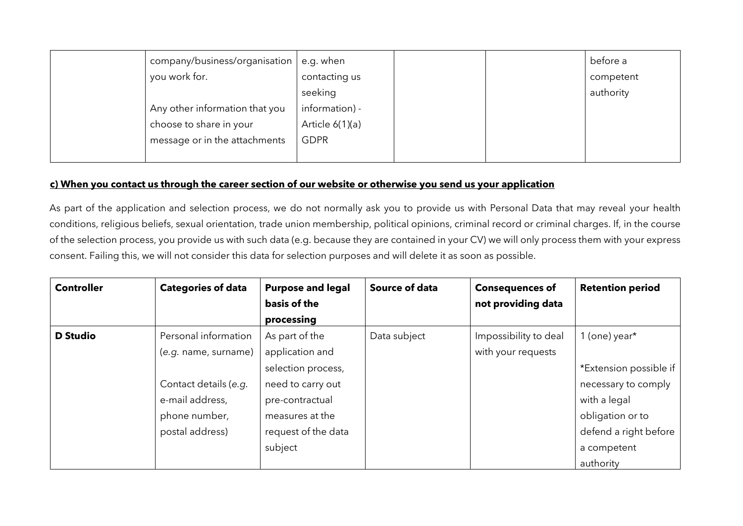| company/business/organisation  | e.g. when         |  | before a  |
|--------------------------------|-------------------|--|-----------|
| you work for.                  | contacting us     |  | competent |
|                                | seeking           |  | authority |
| Any other information that you | information) -    |  |           |
| choose to share in your        | Article $6(1)(a)$ |  |           |
| message or in the attachments  | <b>GDPR</b>       |  |           |
|                                |                   |  |           |

### **c) When you contact us through the career section of our website or otherwise you send us your application**

As part of the application and selection process, we do not normally ask you to provide us with Personal Data that may reveal your health conditions, religious beliefs, sexual orientation, trade union membership, political opinions, criminal record or criminal charges. If, in the course of the selection process, you provide us with such data (e.g. because they are contained in your CV) we will only process them with your express consent. Failing this, we will not consider this data for selection purposes and will delete it as soon as possible.

| <b>Controller</b> | <b>Categories of data</b> | <b>Purpose and legal</b> | <b>Source of data</b> | <b>Consequences of</b> | <b>Retention period</b> |
|-------------------|---------------------------|--------------------------|-----------------------|------------------------|-------------------------|
|                   |                           | basis of the             |                       | not providing data     |                         |
|                   |                           | processing               |                       |                        |                         |
| <b>D</b> Studio   | Personal information      | As part of the           | Data subject          | Impossibility to deal  | 1 (one) year $*$        |
|                   | (e.g. name, surname)      | application and          |                       | with your requests     |                         |
|                   |                           | selection process,       |                       |                        | *Extension possible if  |
|                   | Contact details (e.g.     | need to carry out        |                       |                        | necessary to comply     |
|                   | e-mail address,           | pre-contractual          |                       |                        | with a legal            |
|                   | phone number,             | measures at the          |                       |                        | obligation or to        |
|                   | postal address)           | request of the data      |                       |                        | defend a right before   |
|                   |                           | subject                  |                       |                        | a competent             |
|                   |                           |                          |                       |                        | authority               |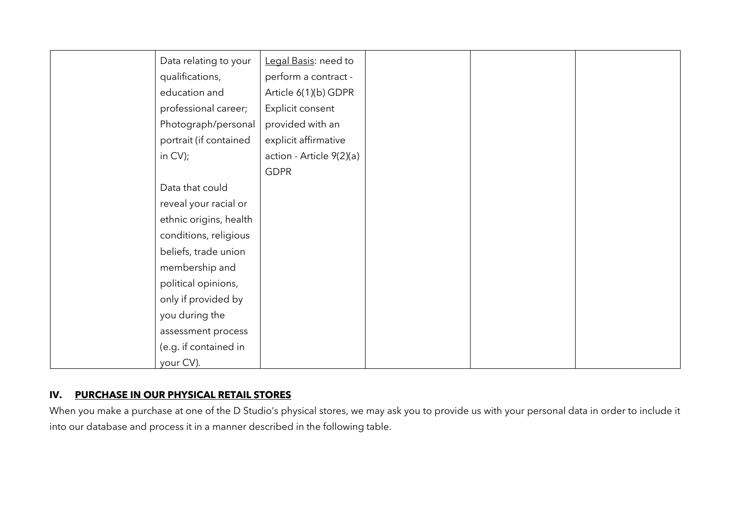| Data relating to your  | Legal Basis: need to     |
|------------------------|--------------------------|
| qualifications,        | perform a contract -     |
| education and          | Article 6(1)(b) GDPR     |
| professional career;   | Explicit consent         |
| Photograph/personal    | provided with an         |
| portrait (if contained | explicit affirmative     |
| in CV);                | action - Article 9(2)(a) |
|                        | <b>GDPR</b>              |
| Data that could        |                          |
| reveal your racial or  |                          |
| ethnic origins, health |                          |
| conditions, religious  |                          |
| beliefs, trade union   |                          |
| membership and         |                          |
| political opinions,    |                          |
| only if provided by    |                          |
| you during the         |                          |
| assessment process     |                          |
| (e.g. if contained in  |                          |
| your CV).              |                          |

### **IV. PURCHASE IN OUR PHYSICAL RETAIL STORES**

When you make a purchase at one of the D Studio's physical stores, we may ask you to provide us with your personal data in order to include it into our database and process it in a manner described in the following table.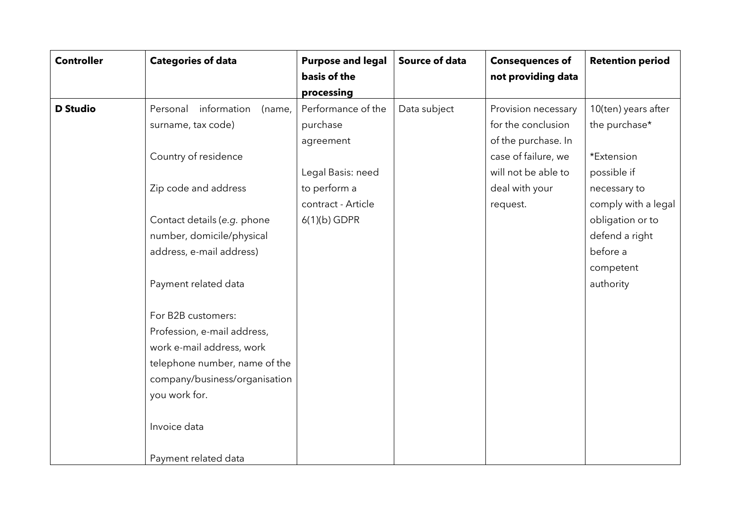| <b>Controller</b> | <b>Categories of data</b>         | <b>Purpose and legal</b> | Source of data | <b>Consequences of</b> | <b>Retention period</b> |
|-------------------|-----------------------------------|--------------------------|----------------|------------------------|-------------------------|
|                   |                                   | basis of the             |                | not providing data     |                         |
|                   |                                   | processing               |                |                        |                         |
| <b>D</b> Studio   | information<br>Personal<br>(name, | Performance of the       | Data subject   | Provision necessary    | 10(ten) years after     |
|                   | surname, tax code)                | purchase                 |                | for the conclusion     | the purchase*           |
|                   |                                   | agreement                |                | of the purchase. In    |                         |
|                   | Country of residence              |                          |                | case of failure, we    | *Extension              |
|                   |                                   | Legal Basis: need        |                | will not be able to    | possible if             |
|                   | Zip code and address              | to perform a             |                | deal with your         | necessary to            |
|                   |                                   | contract - Article       |                | request.               | comply with a legal     |
|                   | Contact details (e.g. phone       | $6(1)(b)$ GDPR           |                |                        | obligation or to        |
|                   | number, domicile/physical         |                          |                |                        | defend a right          |
|                   | address, e-mail address)          |                          |                |                        | before a                |
|                   |                                   |                          |                |                        | competent               |
|                   | Payment related data              |                          |                |                        | authority               |
|                   |                                   |                          |                |                        |                         |
|                   | For B2B customers:                |                          |                |                        |                         |
|                   | Profession, e-mail address,       |                          |                |                        |                         |
|                   | work e-mail address, work         |                          |                |                        |                         |
|                   | telephone number, name of the     |                          |                |                        |                         |
|                   | company/business/organisation     |                          |                |                        |                         |
|                   | you work for.                     |                          |                |                        |                         |
|                   |                                   |                          |                |                        |                         |
|                   | Invoice data                      |                          |                |                        |                         |
|                   |                                   |                          |                |                        |                         |
|                   | Payment related data              |                          |                |                        |                         |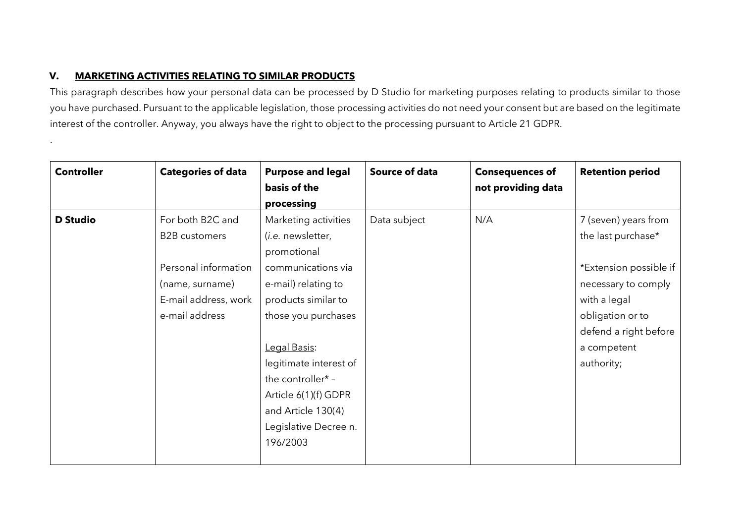### **V. MARKETING ACTIVITIES RELATING TO SIMILAR PRODUCTS**

.

This paragraph describes how your personal data can be processed by D Studio for marketing purposes relating to products similar to those you have purchased. Pursuant to the applicable legislation, those processing activities do not need your consent but are based on the legitimate interest of the controller. Anyway, you always have the right to object to the processing pursuant to Article 21 GDPR.

| <b>Controller</b> | <b>Categories of data</b> | <b>Purpose and legal</b><br>basis of the | Source of data | <b>Consequences of</b><br>not providing data | <b>Retention period</b> |
|-------------------|---------------------------|------------------------------------------|----------------|----------------------------------------------|-------------------------|
|                   |                           | processing                               |                |                                              |                         |
| <b>D</b> Studio   | For both B2C and          | Marketing activities                     | Data subject   | N/A                                          | 7 (seven) years from    |
|                   | <b>B2B</b> customers      | (i.e. newsletter,                        |                |                                              | the last purchase*      |
|                   |                           | promotional                              |                |                                              |                         |
|                   | Personal information      | communications via                       |                |                                              | *Extension possible if  |
|                   | (name, surname)           | e-mail) relating to                      |                |                                              | necessary to comply     |
|                   | E-mail address, work      | products similar to                      |                |                                              | with a legal            |
|                   | e-mail address            | those you purchases                      |                |                                              | obligation or to        |
|                   |                           |                                          |                |                                              | defend a right before   |
|                   |                           | Legal Basis:                             |                |                                              | a competent             |
|                   |                           | legitimate interest of                   |                |                                              | authority;              |
|                   |                           | the controller* -                        |                |                                              |                         |
|                   |                           | Article 6(1)(f) GDPR                     |                |                                              |                         |
|                   |                           | and Article 130(4)                       |                |                                              |                         |
|                   |                           | Legislative Decree n.                    |                |                                              |                         |
|                   |                           | 196/2003                                 |                |                                              |                         |
|                   |                           |                                          |                |                                              |                         |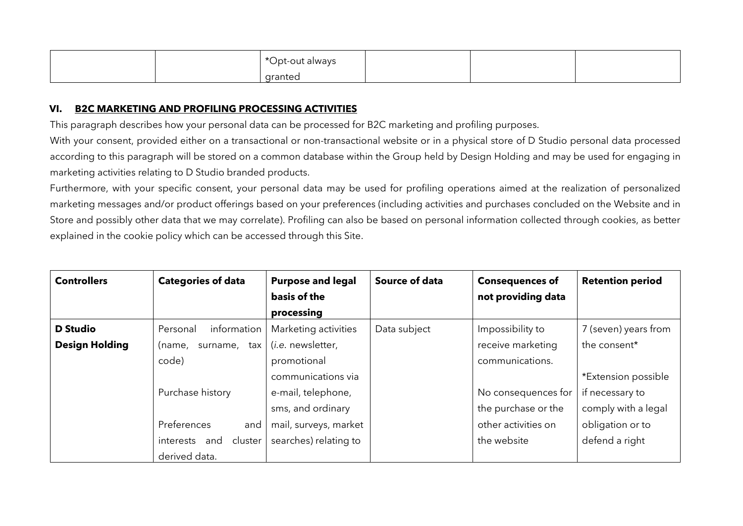|  | *Opt-out always |  |  |
|--|-----------------|--|--|
|  | granted         |  |  |

#### **VI. B2C MARKETING AND PROFILING PROCESSING ACTIVITIES**

This paragraph describes how your personal data can be processed for B2C marketing and profiling purposes.

With your consent, provided either on a transactional or non-transactional website or in a physical store of D Studio personal data processed according to this paragraph will be stored on a common database within the Group held by Design Holding and may be used for engaging in marketing activities relating to D Studio branded products.

Furthermore, with your specific consent, your personal data may be used for profiling operations aimed at the realization of personalized marketing messages and/or product offerings based on your preferences (including activities and purchases concluded on the Website and in Store and possibly other data that we may correlate). Profiling can also be based on personal information collected through cookies, as better explained in the cookie policy which can be accessed through this Site.

| <b>Controllers</b>    | <b>Categories of data</b>   | <b>Purpose and legal</b>  | <b>Source of data</b> | <b>Consequences of</b> | <b>Retention period</b> |
|-----------------------|-----------------------------|---------------------------|-----------------------|------------------------|-------------------------|
|                       |                             | basis of the              |                       | not providing data     |                         |
|                       |                             | processing                |                       |                        |                         |
| <b>D</b> Studio       | information<br>Personal     | Marketing activities      | Data subject          | Impossibility to       | 7 (seven) years from    |
| <b>Design Holding</b> | surname, tax<br>(name,      | ( <i>i.e.</i> newsletter, |                       | receive marketing      | the consent*            |
|                       | code)                       | promotional               |                       | communications.        |                         |
|                       |                             | communications via        |                       |                        | *Extension possible     |
|                       | Purchase history            | e-mail, telephone,        |                       | No consequences for    | if necessary to         |
|                       |                             | sms, and ordinary         |                       | the purchase or the    | comply with a legal     |
|                       | Preferences<br>and          | mail, surveys, market     |                       | other activities on    | obligation or to        |
|                       | cluster<br>interests<br>and | searches) relating to     |                       | the website            | defend a right          |
|                       | derived data.               |                           |                       |                        |                         |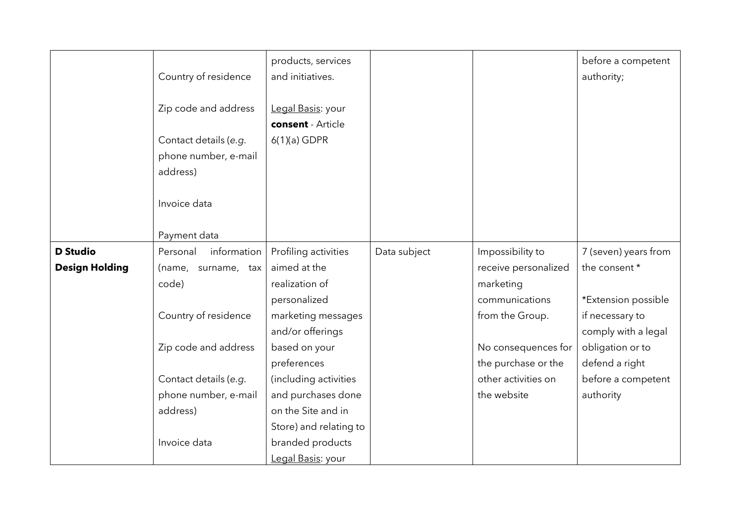|                       |                         | products, services     |              |                      | before a competent   |
|-----------------------|-------------------------|------------------------|--------------|----------------------|----------------------|
|                       | Country of residence    | and initiatives.       |              |                      | authority;           |
|                       |                         |                        |              |                      |                      |
|                       | Zip code and address    | Legal Basis: your      |              |                      |                      |
|                       |                         | consent - Article      |              |                      |                      |
|                       | Contact details (e.g.   | $6(1)(a)$ GDPR         |              |                      |                      |
|                       | phone number, e-mail    |                        |              |                      |                      |
|                       | address)                |                        |              |                      |                      |
|                       |                         |                        |              |                      |                      |
|                       | Invoice data            |                        |              |                      |                      |
|                       |                         |                        |              |                      |                      |
|                       | Payment data            |                        |              |                      |                      |
| <b>D</b> Studio       | information<br>Personal | Profiling activities   | Data subject | Impossibility to     | 7 (seven) years from |
| <b>Design Holding</b> | (name, surname, tax     | aimed at the           |              | receive personalized | the consent *        |
|                       | code)                   | realization of         |              | marketing            |                      |
|                       |                         | personalized           |              | communications       | *Extension possible  |
|                       | Country of residence    | marketing messages     |              | from the Group.      | if necessary to      |
|                       |                         | and/or offerings       |              |                      | comply with a legal  |
|                       | Zip code and address    | based on your          |              | No consequences for  | obligation or to     |
|                       |                         | preferences            |              | the purchase or the  | defend a right       |
|                       | Contact details (e.g.   | (including activities  |              | other activities on  | before a competent   |
|                       | phone number, e-mail    | and purchases done     |              | the website          | authority            |
|                       | address)                | on the Site and in     |              |                      |                      |
|                       |                         | Store) and relating to |              |                      |                      |
|                       | Invoice data            | branded products       |              |                      |                      |
|                       |                         | Legal Basis: your      |              |                      |                      |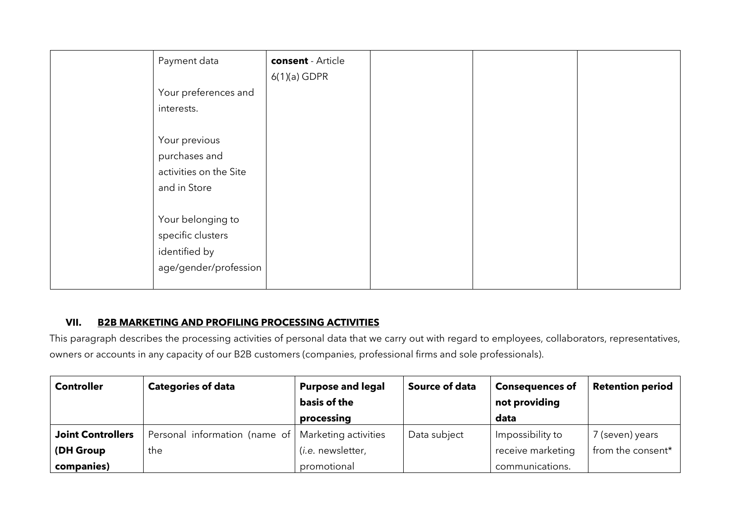| Payment data           | consent - Article |  |  |
|------------------------|-------------------|--|--|
|                        | $6(1)(a)$ GDPR    |  |  |
| Your preferences and   |                   |  |  |
| interests.             |                   |  |  |
|                        |                   |  |  |
| Your previous          |                   |  |  |
| purchases and          |                   |  |  |
| activities on the Site |                   |  |  |
| and in Store           |                   |  |  |
|                        |                   |  |  |
| Your belonging to      |                   |  |  |
| specific clusters      |                   |  |  |
| identified by          |                   |  |  |
| age/gender/profession  |                   |  |  |
|                        |                   |  |  |

### **VII. B2B MARKETING AND PROFILING PROCESSING ACTIVITIES**

This paragraph describes the processing activities of personal data that we carry out with regard to employees, collaborators, representatives, owners or accounts in any capacity of our B2B customers (companies, professional firms and sole professionals).

| <b>Controller</b>        | <b>Categories of data</b>                            | <b>Purpose and legal</b><br>basis of the | <b>Source of data</b> | <b>Consequences of</b><br>not providing | <b>Retention period</b> |
|--------------------------|------------------------------------------------------|------------------------------------------|-----------------------|-----------------------------------------|-------------------------|
|                          |                                                      | processing                               |                       | data                                    |                         |
| <b>Joint Controllers</b> | Personal information (name of   Marketing activities |                                          | Data subject          | Impossibility to                        | 7 (seven) years         |
| (DH Group                | the                                                  | ( <i>i.e.</i> newsletter,                |                       | receive marketing                       | from the consent*       |
| companies)               |                                                      | promotional                              |                       | communications.                         |                         |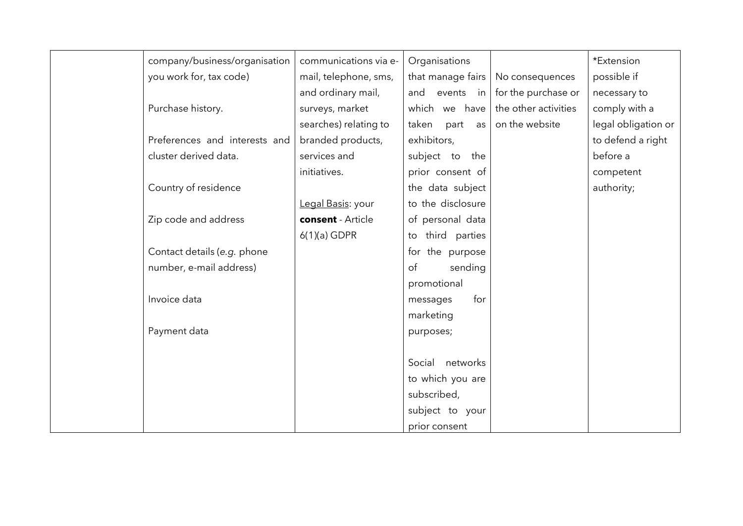|                             | company/business/organisation | communications via e- | Organisations       |                      | *Extension          |
|-----------------------------|-------------------------------|-----------------------|---------------------|----------------------|---------------------|
| you work for, tax code)     |                               | mail, telephone, sms, | that manage fairs   | No consequences      | possible if         |
|                             |                               | and ordinary mail,    | and events in       | for the purchase or  | necessary to        |
| Purchase history.           |                               | surveys, market       | which we have       | the other activities | comply with a       |
|                             |                               | searches) relating to | taken part<br>as    | on the website       | legal obligation or |
|                             | Preferences and interests and | branded products,     | exhibitors,         |                      | to defend a right   |
| cluster derived data.       |                               | services and          | subject to the      |                      | before a            |
|                             |                               | initiatives.          | prior consent of    |                      | competent           |
| Country of residence        |                               |                       | the data subject    |                      | authority;          |
|                             |                               | Legal Basis: your     | to the disclosure   |                      |                     |
| Zip code and address        |                               | consent - Article     | of personal data    |                      |                     |
|                             |                               | $6(1)(a)$ GDPR        | third parties<br>to |                      |                     |
| Contact details (e.g. phone |                               |                       | for the purpose     |                      |                     |
| number, e-mail address)     |                               |                       | sending<br>of       |                      |                     |
|                             |                               |                       | promotional         |                      |                     |
| Invoice data                |                               |                       | for<br>messages     |                      |                     |
|                             |                               |                       | marketing           |                      |                     |
| Payment data                |                               |                       | purposes;           |                      |                     |
|                             |                               |                       |                     |                      |                     |
|                             |                               |                       | Social networks     |                      |                     |
|                             |                               |                       | to which you are    |                      |                     |
|                             |                               |                       | subscribed,         |                      |                     |
|                             |                               |                       | subject to your     |                      |                     |
|                             |                               |                       | prior consent       |                      |                     |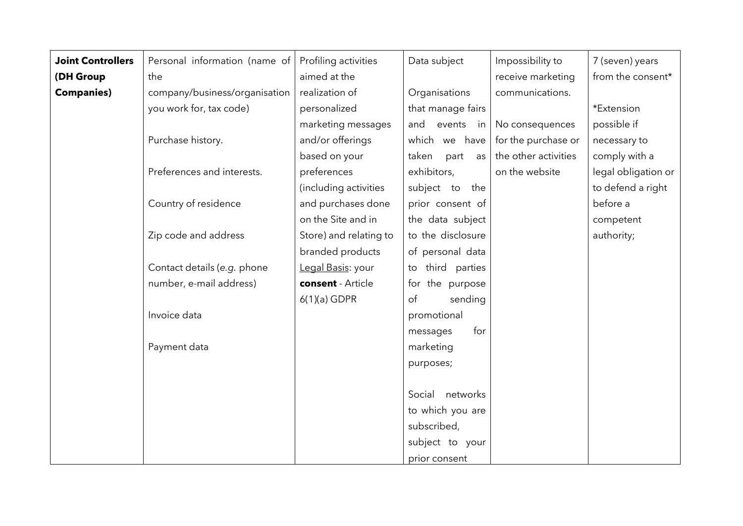| <b>Joint Controllers</b> | Personal information (name of | Profiling activities   | Data subject                | Impossibility to     | 7 (seven) years     |
|--------------------------|-------------------------------|------------------------|-----------------------------|----------------------|---------------------|
| (DH Group                | the                           | aimed at the           |                             | receive marketing    | from the consent*   |
| <b>Companies)</b>        | company/business/organisation | realization of         | Organisations               | communications.      |                     |
|                          | you work for, tax code)       | personalized           | that manage fairs           |                      | *Extension          |
|                          |                               | marketing messages     | and events<br>$\mathsf{in}$ | No consequences      | possible if         |
|                          | Purchase history.             | and/or offerings       | which we have               | for the purchase or  | necessary to        |
|                          |                               | based on your          | taken<br>part<br>as         | the other activities | comply with a       |
|                          | Preferences and interests.    | preferences            | exhibitors,                 | on the website       | legal obligation or |
|                          |                               | (including activities  | subject to the              |                      | to defend a right   |
|                          | Country of residence          | and purchases done     | prior consent of            |                      | before a            |
|                          |                               | on the Site and in     | the data subject            |                      | competent           |
|                          | Zip code and address          | Store) and relating to | to the disclosure           |                      | authority;          |
|                          |                               | branded products       | of personal data            |                      |                     |
|                          | Contact details (e.g. phone   | Legal Basis: your      | third parties<br>to         |                      |                     |
|                          | number, e-mail address)       | consent - Article      | for the purpose             |                      |                     |
|                          |                               | $6(1)(a)$ GDPR         | of<br>sending               |                      |                     |
|                          | Invoice data                  |                        | promotional                 |                      |                     |
|                          |                               |                        | for<br>messages             |                      |                     |
|                          | Payment data                  |                        | marketing                   |                      |                     |
|                          |                               |                        | purposes;                   |                      |                     |
|                          |                               |                        |                             |                      |                     |
|                          |                               |                        | networks<br>Social          |                      |                     |
|                          |                               |                        | to which you are            |                      |                     |
|                          |                               |                        | subscribed,                 |                      |                     |
|                          |                               |                        | subject to your             |                      |                     |
|                          |                               |                        | prior consent               |                      |                     |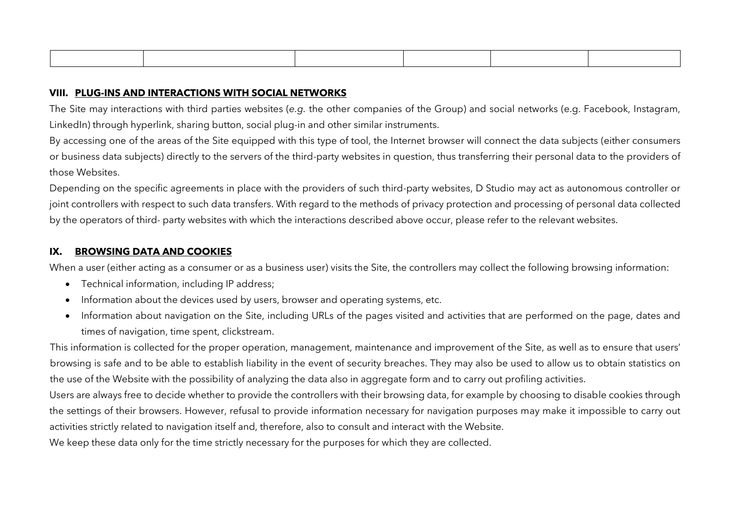#### **VIII. PLUG-INS AND INTERACTIONS WITH SOCIAL NETWORKS**

The Site may interactions with third parties websites (*e.g.* the other companies of the Group) and social networks (e.g. Facebook, Instagram, LinkedIn) through hyperlink, sharing button, social plug-in and other similar instruments.

By accessing one of the areas of the Site equipped with this type of tool, the Internet browser will connect the data subjects (either consumers or business data subjects) directly to the servers of the third-party websites in question, thus transferring their personal data to the providers of those Websites.

Depending on the specific agreements in place with the providers of such third-party websites, D Studio may act as autonomous controller or joint controllers with respect to such data transfers. With regard to the methods of privacy protection and processing of personal data collected by the operators of third- party websites with which the interactions described above occur, please refer to the relevant websites.

#### **IX. BROWSING DATA AND COOKIES**

When a user (either acting as a consumer or as a business user) visits the Site, the controllers may collect the following browsing information:

- Technical information, including IP address;
- Information about the devices used by users, browser and operating systems, etc.
- Information about navigation on the Site, including URLs of the pages visited and activities that are performed on the page, dates and times of navigation, time spent, clickstream.

This information is collected for the proper operation, management, maintenance and improvement of the Site, as well as to ensure that users' browsing is safe and to be able to establish liability in the event of security breaches. They may also be used to allow us to obtain statistics on the use of the Website with the possibility of analyzing the data also in aggregate form and to carry out profiling activities.

Users are always free to decide whether to provide the controllers with their browsing data, for example by choosing to disable cookies through the settings of their browsers. However, refusal to provide information necessary for navigation purposes may make it impossible to carry out activities strictly related to navigation itself and, therefore, also to consult and interact with the Website.

We keep these data only for the time strictly necessary for the purposes for which they are collected.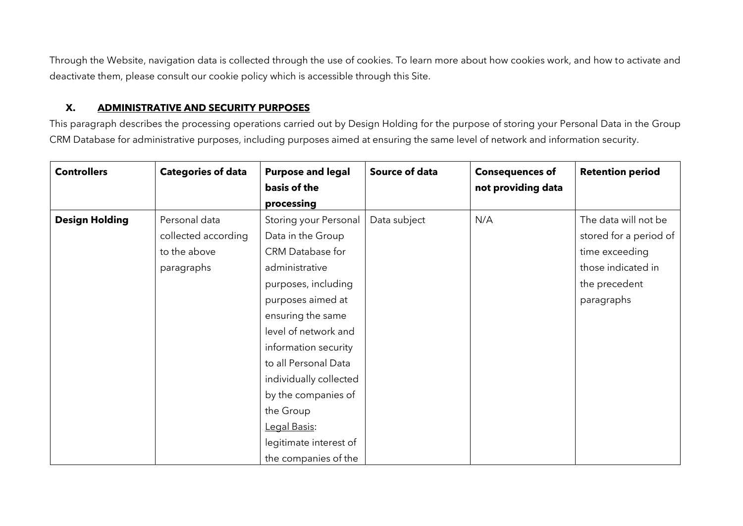Through the Website, navigation data is collected through the use of cookies. To learn more about how cookies work, and how to activate and deactivate them, please consult our cookie policy which is accessible through this Site.

#### **X. ADMINISTRATIVE AND SECURITY PURPOSES**

This paragraph describes the processing operations carried out by Design Holding for the purpose of storing your Personal Data in the Group CRM Database for administrative purposes, including purposes aimed at ensuring the same level of network and information security.

| <b>Controllers</b>    | <b>Categories of data</b>                                          | <b>Purpose and legal</b><br>basis of the<br>processing                                                                                                                                                                                                                                                                                                    | Source of data | <b>Consequences of</b><br>not providing data | <b>Retention period</b>                                                                                               |
|-----------------------|--------------------------------------------------------------------|-----------------------------------------------------------------------------------------------------------------------------------------------------------------------------------------------------------------------------------------------------------------------------------------------------------------------------------------------------------|----------------|----------------------------------------------|-----------------------------------------------------------------------------------------------------------------------|
| <b>Design Holding</b> | Personal data<br>collected according<br>to the above<br>paragraphs | Storing your Personal<br>Data in the Group<br>CRM Database for<br>administrative<br>purposes, including<br>purposes aimed at<br>ensuring the same<br>level of network and<br>information security<br>to all Personal Data<br>individually collected<br>by the companies of<br>the Group<br>Legal Basis:<br>legitimate interest of<br>the companies of the | Data subject   | N/A                                          | The data will not be<br>stored for a period of<br>time exceeding<br>those indicated in<br>the precedent<br>paragraphs |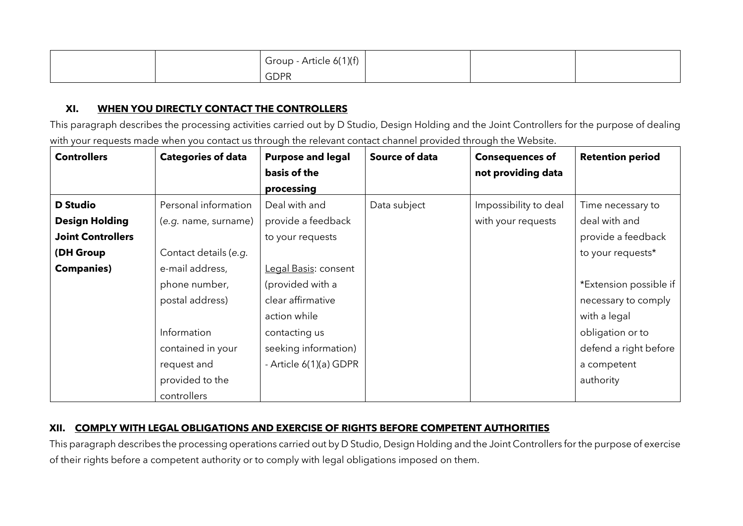|  | Group - Article 6(1)(f)<br>. |  |  |
|--|------------------------------|--|--|
|  | <b>GDPR</b>                  |  |  |

### **XI. WHEN YOU DIRECTLY CONTACT THE CONTROLLERS**

This paragraph describes the processing activities carried out by D Studio, Design Holding and the Joint Controllers for the purpose of dealing with your requests made when you contact us through the relevant contact channel provided through the Website.

| <b>Controllers</b>       | <b>Categories of data</b> | <b>Purpose and legal</b> | Source of data | <b>Consequences of</b> | <b>Retention period</b> |
|--------------------------|---------------------------|--------------------------|----------------|------------------------|-------------------------|
|                          |                           | basis of the             |                | not providing data     |                         |
|                          |                           | processing               |                |                        |                         |
| <b>D</b> Studio          | Personal information      | Deal with and            | Data subject   | Impossibility to deal  | Time necessary to       |
| <b>Design Holding</b>    | (e.g. name, surname)      | provide a feedback       |                | with your requests     | deal with and           |
| <b>Joint Controllers</b> |                           | to your requests         |                |                        | provide a feedback      |
| (DH Group                | Contact details (e.g.     |                          |                |                        | to your requests*       |
| <b>Companies)</b>        | e-mail address,           | Legal Basis: consent     |                |                        |                         |
|                          | phone number,             | (provided with a         |                |                        | *Extension possible if  |
|                          | postal address)           | clear affirmative        |                |                        | necessary to comply     |
|                          |                           | action while             |                |                        | with a legal            |
|                          | Information               | contacting us            |                |                        | obligation or to        |
|                          | contained in your         | seeking information)     |                |                        | defend a right before   |
|                          | request and               | - Article 6(1)(a) GDPR   |                |                        | a competent             |
|                          | provided to the           |                          |                |                        | authority               |
|                          | controllers               |                          |                |                        |                         |

## **XII. COMPLY WITH LEGAL OBLIGATIONS AND EXERCISE OF RIGHTS BEFORE COMPETENT AUTHORITIES**

This paragraph describes the processing operations carried out by D Studio, Design Holding and the Joint Controllers for the purpose of exercise of their rights before a competent authority or to comply with legal obligations imposed on them.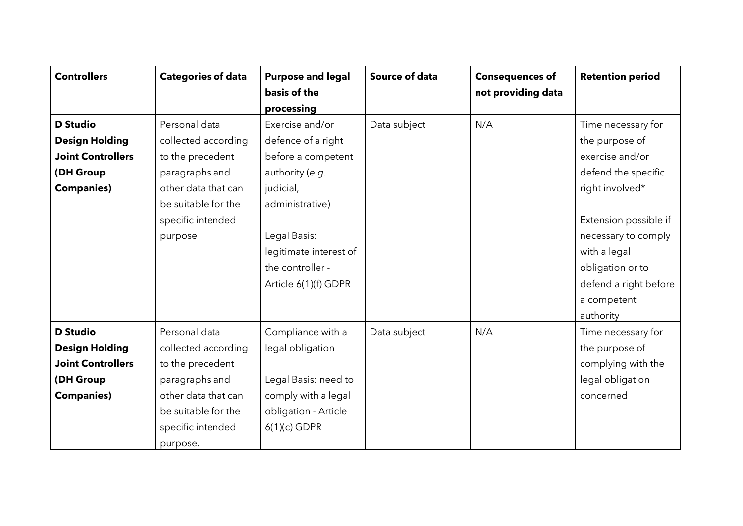| <b>Controllers</b>       | <b>Categories of data</b> | <b>Purpose and legal</b> | <b>Source of data</b> | <b>Consequences of</b> | <b>Retention period</b> |
|--------------------------|---------------------------|--------------------------|-----------------------|------------------------|-------------------------|
|                          |                           | basis of the             |                       | not providing data     |                         |
|                          |                           | processing               |                       |                        |                         |
| <b>D</b> Studio          | Personal data             | Exercise and/or          | Data subject          | N/A                    | Time necessary for      |
| <b>Design Holding</b>    | collected according       | defence of a right       |                       |                        | the purpose of          |
| <b>Joint Controllers</b> | to the precedent          | before a competent       |                       |                        | exercise and/or         |
| (DH Group                | paragraphs and            | authority (e.g.          |                       |                        | defend the specific     |
| <b>Companies)</b>        | other data that can       | judicial,                |                       |                        | right involved*         |
|                          | be suitable for the       | administrative)          |                       |                        |                         |
|                          | specific intended         |                          |                       |                        | Extension possible if   |
|                          | purpose                   | Legal Basis:             |                       |                        | necessary to comply     |
|                          |                           | legitimate interest of   |                       |                        | with a legal            |
|                          |                           | the controller -         |                       |                        | obligation or to        |
|                          |                           | Article 6(1)(f) GDPR     |                       |                        | defend a right before   |
|                          |                           |                          |                       |                        | a competent             |
|                          |                           |                          |                       |                        | authority               |
| <b>D</b> Studio          | Personal data             | Compliance with a        | Data subject          | N/A                    | Time necessary for      |
| <b>Design Holding</b>    | collected according       | legal obligation         |                       |                        | the purpose of          |
| <b>Joint Controllers</b> | to the precedent          |                          |                       |                        | complying with the      |
| (DH Group                | paragraphs and            | Legal Basis: need to     |                       |                        | legal obligation        |
| <b>Companies)</b>        | other data that can       | comply with a legal      |                       |                        | concerned               |
|                          | be suitable for the       | obligation - Article     |                       |                        |                         |
|                          | specific intended         | $6(1)(c)$ GDPR           |                       |                        |                         |
|                          | purpose.                  |                          |                       |                        |                         |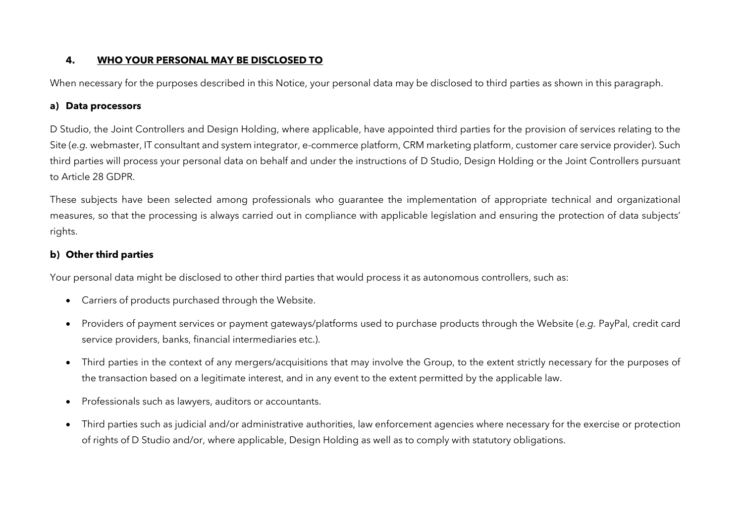### **4. WHO YOUR PERSONAL MAY BE DISCLOSED TO**

When necessary for the purposes described in this Notice, your personal data may be disclosed to third parties as shown in this paragraph.

### **a) Data processors**

D Studio, the Joint Controllers and Design Holding, where applicable, have appointed third parties for the provision of services relating to the Site (*e.g.* webmaster, IT consultant and system integrator, e-commerce platform, CRM marketing platform, customer care service provider). Such third parties will process your personal data on behalf and under the instructions of D Studio, Design Holding or the Joint Controllers pursuant to Article 28 GDPR.

These subjects have been selected among professionals who guarantee the implementation of appropriate technical and organizational measures, so that the processing is always carried out in compliance with applicable legislation and ensuring the protection of data subjects' rights.

## **b) Other third parties**

Your personal data might be disclosed to other third parties that would process it as autonomous controllers, such as:

- Carriers of products purchased through the Website.
- Providers of payment services or payment gateways/platforms used to purchase products through the Website (*e.g.* PayPal, credit card service providers, banks, financial intermediaries etc.).
- Third parties in the context of any mergers/acquisitions that may involve the Group, to the extent strictly necessary for the purposes of the transaction based on a legitimate interest, and in any event to the extent permitted by the applicable law.
- Professionals such as lawyers, auditors or accountants.
- Third parties such as judicial and/or administrative authorities, law enforcement agencies where necessary for the exercise or protection of rights of D Studio and/or, where applicable, Design Holding as well as to comply with statutory obligations.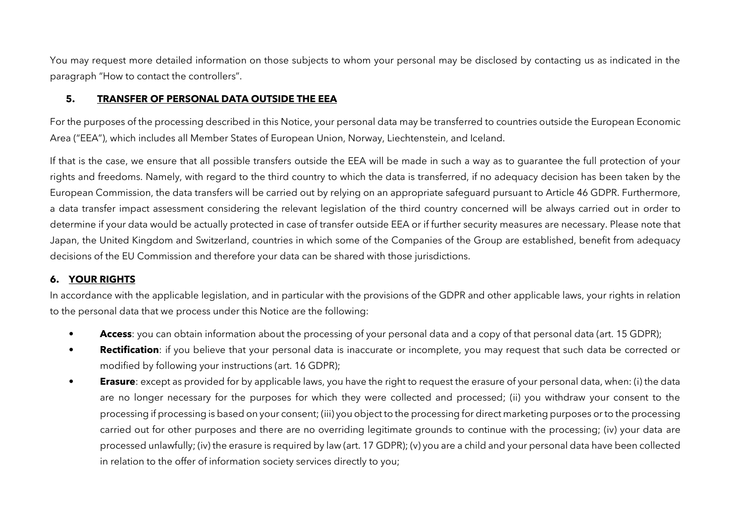You may request more detailed information on those subjects to whom your personal may be disclosed by contacting us as indicated in the paragraph "How to contact the controllers".

### **5. TRANSFER OF PERSONAL DATA OUTSIDE THE EEA**

For the purposes of the processing described in this Notice, your personal data may be transferred to countries outside the European Economic Area ("EEA"), which includes all Member States of European Union, Norway, Liechtenstein, and Iceland.

If that is the case, we ensure that all possible transfers outside the EEA will be made in such a way as to guarantee the full protection of your rights and freedoms. Namely, with regard to the third country to which the data is transferred, if no adequacy decision has been taken by the European Commission, the data transfers will be carried out by relying on an appropriate safeguard pursuant to Article 46 GDPR. Furthermore, a data transfer impact assessment considering the relevant legislation of the third country concerned will be always carried out in order to determine if your data would be actually protected in case of transfer outside EEA or if further security measures are necessary. Please note that Japan, the United Kingdom and Switzerland, countries in which some of the Companies of the Group are established, benefit from adequacy decisions of the EU Commission and therefore your data can be shared with those jurisdictions.

### **6. YOUR RIGHTS**

In accordance with the applicable legislation, and in particular with the provisions of the GDPR and other applicable laws, your rights in relation to the personal data that we process under this Notice are the following:

- **Access**: you can obtain information about the processing of your personal data and a copy of that personal data (art. 15 GDPR);
- **Rectification**: if you believe that your personal data is inaccurate or incomplete, you may request that such data be corrected or modified by following your instructions (art. 16 GDPR);
- **Erasure**: except as provided for by applicable laws, you have the right to request the erasure of your personal data, when: (i) the data are no longer necessary for the purposes for which they were collected and processed; (ii) you withdraw your consent to the processing if processing is based on your consent; (iii) you object to the processing for direct marketing purposes or to the processing carried out for other purposes and there are no overriding legitimate grounds to continue with the processing; (iv) your data are processed unlawfully; (iv) the erasure is required by law (art. 17 GDPR); (v) you are a child and your personal data have been collected in relation to the offer of information society services directly to you;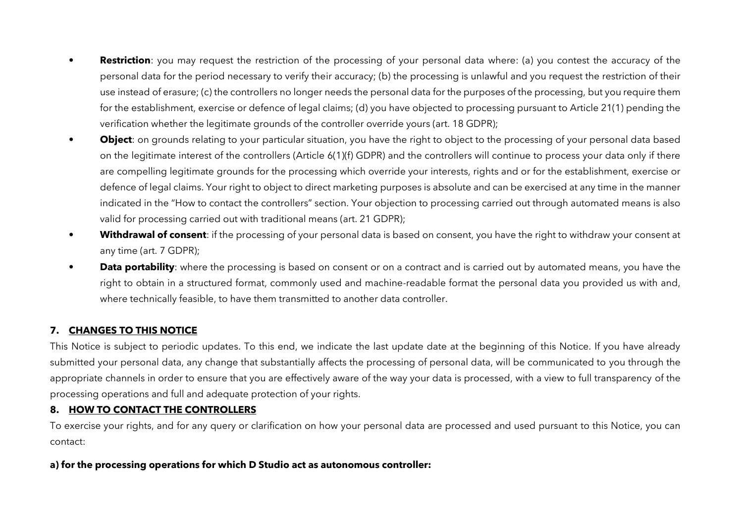- **Restriction**: you may request the restriction of the processing of your personal data where: (a) you contest the accuracy of the personal data for the period necessary to verify their accuracy; (b) the processing is unlawful and you request the restriction of their use instead of erasure; (c) the controllers no longer needs the personal data for the purposes of the processing, but you require them for the establishment, exercise or defence of legal claims; (d) you have objected to processing pursuant to Article 21(1) pending the verification whether the legitimate grounds of the controller override yours (art. 18 GDPR);
- **Object**: on grounds relating to your particular situation, you have the right to object to the processing of your personal data based on the legitimate interest of the controllers (Article 6(1)(f) GDPR) and the controllers will continue to process your data only if there are compelling legitimate grounds for the processing which override your interests, rights and or for the establishment, exercise or defence of legal claims. Your right to object to direct marketing purposes is absolute and can be exercised at any time in the manner indicated in the "How to contact the controllers" section. Your objection to processing carried out through automated means is also valid for processing carried out with traditional means (art. 21 GDPR);
- **Withdrawal of consent**: if the processing of your personal data is based on consent, you have the right to withdraw your consent at any time (art. 7 GDPR);
- **Data portability**: where the processing is based on consent or on a contract and is carried out by automated means, you have the right to obtain in a structured format, commonly used and machine-readable format the personal data you provided us with and, where technically feasible, to have them transmitted to another data controller.

#### **7. CHANGES TO THIS NOTICE**

This Notice is subject to periodic updates. To this end, we indicate the last update date at the beginning of this Notice. If you have already submitted your personal data, any change that substantially affects the processing of personal data, will be communicated to you through the appropriate channels in order to ensure that you are effectively aware of the way your data is processed, with a view to full transparency of the processing operations and full and adequate protection of your rights.

#### **8. HOW TO CONTACT THE CONTROLLERS**

To exercise your rights, and for any query or clarification on how your personal data are processed and used pursuant to this Notice, you can contact:

#### **a) for the processing operations for which D Studio act as autonomous controller:**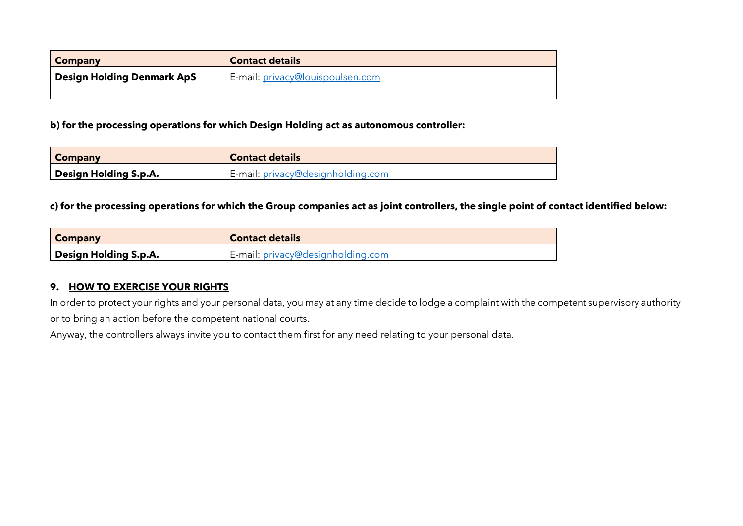| <b>Company</b>                    | <b>Contact details</b>           |
|-----------------------------------|----------------------------------|
| <b>Design Holding Denmark ApS</b> | E-mail: privacy@louispoulsen.com |
|                                   |                                  |

#### **b) for the processing operations for which Design Holding act as autonomous controller:**

| <b>Company</b>        | <b>Contact details</b>            |
|-----------------------|-----------------------------------|
| Design Holding S.p.A. | E-mail: privacy@designholding.com |

#### **c) for the processing operations for which the Group companies act as joint controllers, the single point of contact identified below:**

| Company               | <b>Contact details</b>            |
|-----------------------|-----------------------------------|
| Design Holding S.p.A. | E-mail: privacy@designholding.com |

### **9. HOW TO EXERCISE YOUR RIGHTS**

In order to protect your rights and your personal data, you may at any time decide to lodge a complaint with the competent supervisory authority or to bring an action before the competent national courts.

Anyway, the controllers always invite you to contact them first for any need relating to your personal data.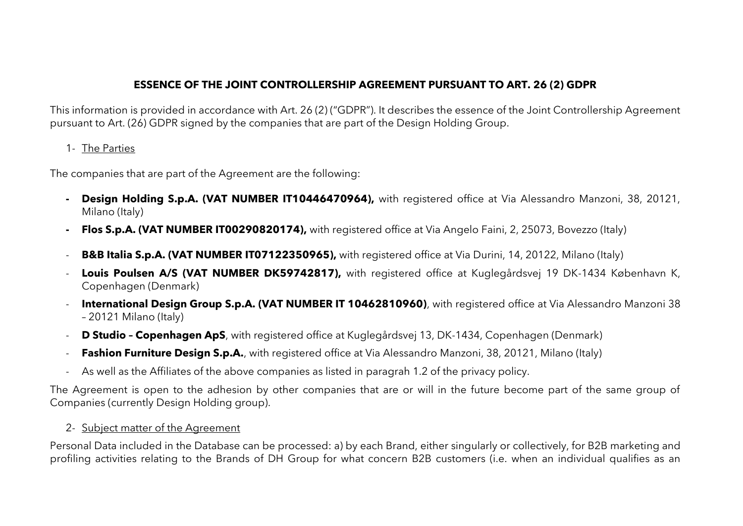# **ESSENCE OF THE JOINT CONTROLLERSHIP AGREEMENT PURSUANT TO ART. 26 (2) GDPR**

This information is provided in accordance with Art. 26 (2) ("GDPR"). It describes the essence of the Joint Controllership Agreement pursuant to Art. (26) GDPR signed by the companies that are part of the Design Holding Group.

1- The Parties

The companies that are part of the Agreement are the following:

- **- Design Holding S.p.A. (VAT NUMBER IT10446470964),** with registered office at Via Alessandro Manzoni, 38, 20121, Milano (Italy)
- **- Flos S.p.A. (VAT NUMBER IT00290820174),** with registered office at Via Angelo Faini, 2, 25073, Bovezzo (Italy)
- **B&B Italia S.p.A. (VAT NUMBER IT07122350965),** with registered office at Via Durini, 14, 20122, Milano (Italy)
- **Louis Poulsen A/S (VAT NUMBER DK59742817),** with registered office at Kuglegårdsvej 19 DK-1434 København K, Copenhagen (Denmark)
- **International Design Group S.p.A. (VAT NUMBER IT 10462810960)**, with registered office at Via Alessandro Manzoni 38 – 20121 Milano (Italy)
- **D Studio – Copenhagen ApS**, with registered office at Kuglegårdsvej 13, DK-1434, Copenhagen (Denmark)
- **Fashion Furniture Design S.p.A.**, with registered office at Via Alessandro Manzoni, 38, 20121, Milano (Italy)
- As well as the Affiliates of the above companies as listed in paragrah 1.2 of the privacy policy.

The Agreement is open to the adhesion by other companies that are or will in the future become part of the same group of Companies (currently Design Holding group).

## 2- Subject matter of the Agreement

Personal Data included in the Database can be processed: a) by each Brand, either singularly or collectively, for B2B marketing and profiling activities relating to the Brands of DH Group for what concern B2B customers (i.e. when an individual qualifies as an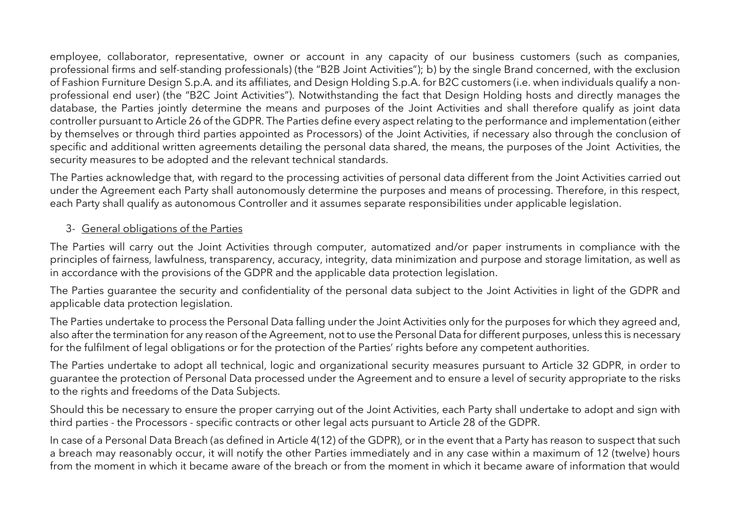employee, collaborator, representative, owner or account in any capacity of our business customers (such as companies, professional firms and self-standing professionals) (the "B2B Joint Activities"); b) by the single Brand concerned, with the exclusion of Fashion Furniture Design S.p.A. and its affiliates, and Design Holding S.p.A. for B2C customers (i.e. when individuals qualify a nonprofessional end user) (the "B2C Joint Activities"). Notwithstanding the fact that Design Holding hosts and directly manages the database, the Parties jointly determine the means and purposes of the Joint Activities and shall therefore qualify as joint data controller pursuant to Article 26 of the GDPR. The Parties define every aspect relating to the performance and implementation (either by themselves or through third parties appointed as Processors) of the Joint Activities, if necessary also through the conclusion of specific and additional written agreements detailing the personal data shared, the means, the purposes of the Joint Activities, the security measures to be adopted and the relevant technical standards.

The Parties acknowledge that, with regard to the processing activities of personal data different from the Joint Activities carried out under the Agreement each Party shall autonomously determine the purposes and means of processing. Therefore, in this respect, each Party shall qualify as autonomous Controller and it assumes separate responsibilities under applicable legislation.

## 3- General obligations of the Parties

The Parties will carry out the Joint Activities through computer, automatized and/or paper instruments in compliance with the principles of fairness, lawfulness, transparency, accuracy, integrity, data minimization and purpose and storage limitation, as well as in accordance with the provisions of the GDPR and the applicable data protection legislation.

The Parties guarantee the security and confidentiality of the personal data subject to the Joint Activities in light of the GDPR and applicable data protection legislation.

The Parties undertake to process the Personal Data falling under the Joint Activities only for the purposes for which they agreed and, also after the termination for any reason of the Agreement, not to use the Personal Data for different purposes, unless this is necessary for the fulfilment of legal obligations or for the protection of the Parties' rights before any competent authorities.

The Parties undertake to adopt all technical, logic and organizational security measures pursuant to Article 32 GDPR, in order to guarantee the protection of Personal Data processed under the Agreement and to ensure a level of security appropriate to the risks to the rights and freedoms of the Data Subjects.

Should this be necessary to ensure the proper carrying out of the Joint Activities, each Party shall undertake to adopt and sign with third parties - the Processors - specific contracts or other legal acts pursuant to Article 28 of the GDPR.

In case of a Personal Data Breach (as defined in Article 4(12) of the GDPR), or in the event that a Party has reason to suspect that such a breach may reasonably occur, it will notify the other Parties immediately and in any case within a maximum of 12 (twelve) hours from the moment in which it became aware of the breach or from the moment in which it became aware of information that would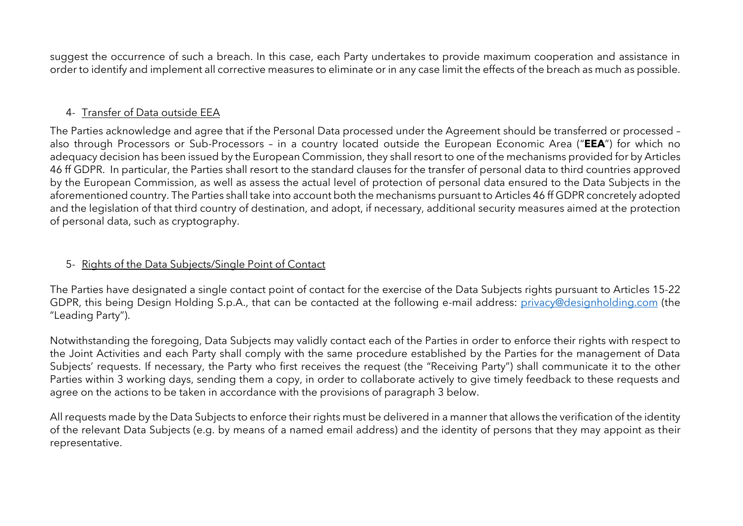suggest the occurrence of such a breach. In this case, each Party undertakes to provide maximum cooperation and assistance in order to identify and implement all corrective measures to eliminate or in any case limit the effects of the breach as much as possible.

## 4- Transfer of Data outside EEA

The Parties acknowledge and agree that if the Personal Data processed under the Agreement should be transferred or processed – also through Processors or Sub-Processors – in a country located outside the European Economic Area ("**EEA**") for which no adequacy decision has been issued by the European Commission, they shall resort to one of the mechanisms provided for by Articles 46 ff GDPR. In particular, the Parties shall resort to the standard clauses for the transfer of personal data to third countries approved by the European Commission, as well as assess the actual level of protection of personal data ensured to the Data Subjects in the aforementioned country. The Parties shall take into account both the mechanisms pursuant to Articles 46 ff GDPR concretely adopted and the legislation of that third country of destination, and adopt, if necessary, additional security measures aimed at the protection of personal data, such as cryptography.

## 5- Rights of the Data Subjects/Single Point of Contact

The Parties have designated a single contact point of contact for the exercise of the Data Subjects rights pursuant to Articles 15-22 GDPR, this being Design Holding S.p.A., that can be contacted at the following e-mail address: [privacy@designholding.com](mailto:privacy@designholding.com) (the "Leading Party").

Notwithstanding the foregoing, Data Subjects may validly contact each of the Parties in order to enforce their rights with respect to the Joint Activities and each Party shall comply with the same procedure established by the Parties for the management of Data Subjects' requests. If necessary, the Party who first receives the request (the "Receiving Party") shall communicate it to the other Parties within 3 working days, sending them a copy, in order to collaborate actively to give timely feedback to these requests and agree on the actions to be taken in accordance with the provisions of paragraph 3 below.

All requests made by the Data Subjects to enforce their rights must be delivered in a manner that allows the verification of the identity of the relevant Data Subjects (e.g. by means of a named email address) and the identity of persons that they may appoint as their representative.